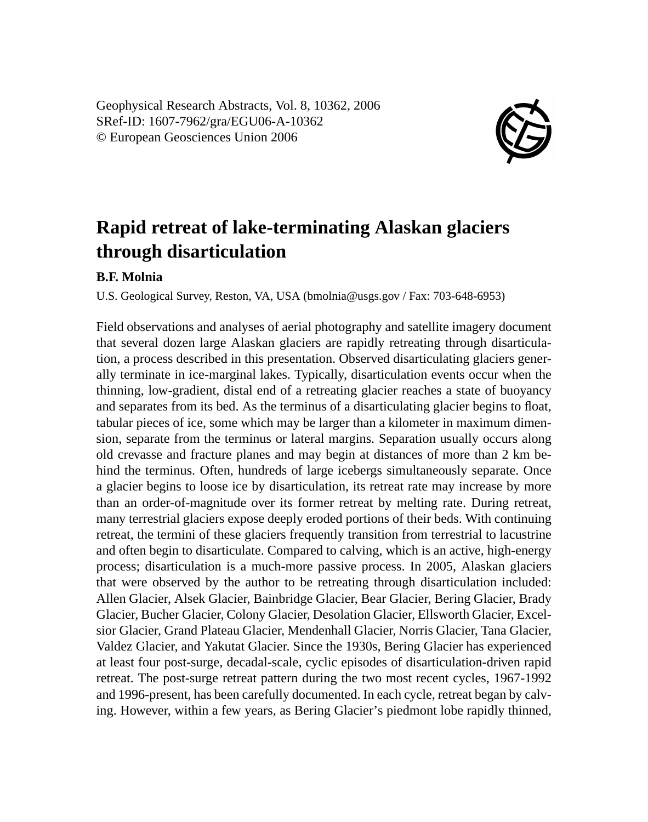Geophysical Research Abstracts, Vol. 8, 10362, 2006 SRef-ID: 1607-7962/gra/EGU06-A-10362 © European Geosciences Union 2006



## **Rapid retreat of lake-terminating Alaskan glaciers through disarticulation**

## **B.F. Molnia**

U.S. Geological Survey, Reston, VA, USA (bmolnia@usgs.gov / Fax: 703-648-6953)

Field observations and analyses of aerial photography and satellite imagery document that several dozen large Alaskan glaciers are rapidly retreating through disarticulation, a process described in this presentation. Observed disarticulating glaciers generally terminate in ice-marginal lakes. Typically, disarticulation events occur when the thinning, low-gradient, distal end of a retreating glacier reaches a state of buoyancy and separates from its bed. As the terminus of a disarticulating glacier begins to float, tabular pieces of ice, some which may be larger than a kilometer in maximum dimension, separate from the terminus or lateral margins. Separation usually occurs along old crevasse and fracture planes and may begin at distances of more than 2 km behind the terminus. Often, hundreds of large icebergs simultaneously separate. Once a glacier begins to loose ice by disarticulation, its retreat rate may increase by more than an order-of-magnitude over its former retreat by melting rate. During retreat, many terrestrial glaciers expose deeply eroded portions of their beds. With continuing retreat, the termini of these glaciers frequently transition from terrestrial to lacustrine and often begin to disarticulate. Compared to calving, which is an active, high-energy process; disarticulation is a much-more passive process. In 2005, Alaskan glaciers that were observed by the author to be retreating through disarticulation included: Allen Glacier, Alsek Glacier, Bainbridge Glacier, Bear Glacier, Bering Glacier, Brady Glacier, Bucher Glacier, Colony Glacier, Desolation Glacier, Ellsworth Glacier, Excelsior Glacier, Grand Plateau Glacier, Mendenhall Glacier, Norris Glacier, Tana Glacier, Valdez Glacier, and Yakutat Glacier. Since the 1930s, Bering Glacier has experienced at least four post-surge, decadal-scale, cyclic episodes of disarticulation-driven rapid retreat. The post-surge retreat pattern during the two most recent cycles, 1967-1992 and 1996-present, has been carefully documented. In each cycle, retreat began by calving. However, within a few years, as Bering Glacier's piedmont lobe rapidly thinned,